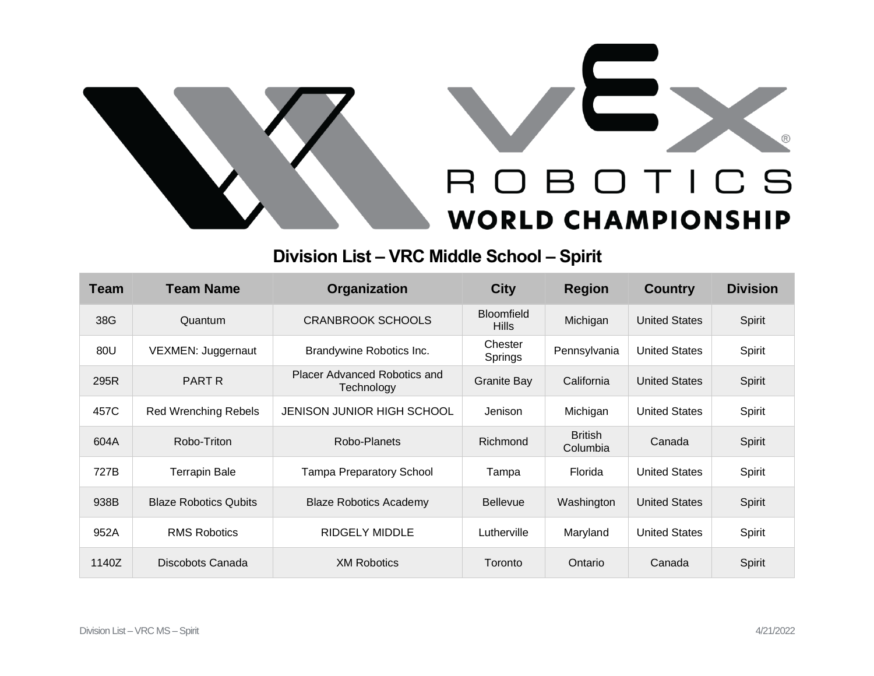



## **Division List – VRC Middle School – Spirit**

| <b>Team</b> | <b>Team Name</b>             | Organization                               | <b>City</b>                       | <b>Region</b>              | <b>Country</b>       | <b>Division</b> |
|-------------|------------------------------|--------------------------------------------|-----------------------------------|----------------------------|----------------------|-----------------|
| 38G         | Quantum                      | <b>CRANBROOK SCHOOLS</b>                   | <b>Bloomfield</b><br><b>Hills</b> | Michigan                   | <b>United States</b> | Spirit          |
| 80U         | VEXMEN: Juggernaut           | Brandywine Robotics Inc.                   | Chester<br>Springs                | Pennsylvania               | <b>United States</b> | Spirit          |
| 295R        | PART R                       | Placer Advanced Robotics and<br>Technology | <b>Granite Bay</b>                | California                 | <b>United States</b> | Spirit          |
| 457C        | <b>Red Wrenching Rebels</b>  | JENISON JUNIOR HIGH SCHOOL                 | Jenison                           | Michigan                   | <b>United States</b> | Spirit          |
| 604A        | Robo-Triton                  | Robo-Planets                               | Richmond                          | <b>British</b><br>Columbia | Canada               | Spirit          |
| 727B        | <b>Terrapin Bale</b>         | <b>Tampa Preparatory School</b>            | Tampa                             | Florida                    | <b>United States</b> | Spirit          |
| 938B        | <b>Blaze Robotics Qubits</b> | <b>Blaze Robotics Academy</b>              | <b>Bellevue</b>                   | Washington                 | <b>United States</b> | Spirit          |
| 952A        | <b>RMS Robotics</b>          | <b>RIDGELY MIDDLE</b>                      | Lutherville                       | Maryland                   | <b>United States</b> | Spirit          |
| 1140Z       | Discobots Canada             | <b>XM Robotics</b>                         | Toronto                           | Ontario                    | Canada               | Spirit          |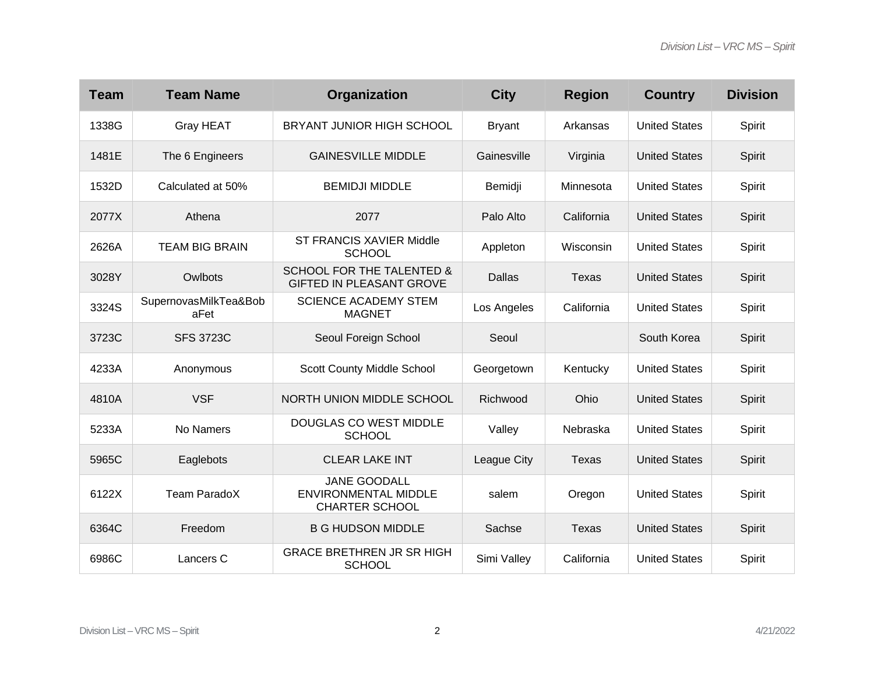| <b>Team</b> | <b>Team Name</b>              | Organization                                                                | <b>City</b>   | <b>Region</b> | <b>Country</b>       | <b>Division</b> |
|-------------|-------------------------------|-----------------------------------------------------------------------------|---------------|---------------|----------------------|-----------------|
| 1338G       | <b>Gray HEAT</b>              | BRYANT JUNIOR HIGH SCHOOL                                                   | <b>Bryant</b> | Arkansas      | <b>United States</b> | Spirit          |
| 1481E       | The 6 Engineers               | <b>GAINESVILLE MIDDLE</b>                                                   | Gainesville   | Virginia      | <b>United States</b> | Spirit          |
| 1532D       | Calculated at 50%             | <b>BEMIDJI MIDDLE</b>                                                       | Bemidji       | Minnesota     | <b>United States</b> | Spirit          |
| 2077X       | Athena                        | 2077                                                                        | Palo Alto     | California    | <b>United States</b> | Spirit          |
| 2626A       | <b>TEAM BIG BRAIN</b>         | <b>ST FRANCIS XAVIER Middle</b><br><b>SCHOOL</b>                            | Appleton      | Wisconsin     | <b>United States</b> | Spirit          |
| 3028Y       | Owlbots                       | <b>SCHOOL FOR THE TALENTED &amp;</b><br><b>GIFTED IN PLEASANT GROVE</b>     | <b>Dallas</b> | <b>Texas</b>  | <b>United States</b> | Spirit          |
| 3324S       | SupernovasMilkTea&Bob<br>aFet | <b>SCIENCE ACADEMY STEM</b><br><b>MAGNET</b>                                | Los Angeles   | California    | <b>United States</b> | Spirit          |
| 3723C       | <b>SFS 3723C</b>              | Seoul Foreign School                                                        | Seoul         |               | South Korea          | Spirit          |
| 4233A       | Anonymous                     | <b>Scott County Middle School</b>                                           | Georgetown    | Kentucky      | <b>United States</b> | Spirit          |
| 4810A       | <b>VSF</b>                    | NORTH UNION MIDDLE SCHOOL                                                   | Richwood      | Ohio          | <b>United States</b> | Spirit          |
| 5233A       | No Namers                     | DOUGLAS CO WEST MIDDLE<br><b>SCHOOL</b>                                     | Valley        | Nebraska      | <b>United States</b> | Spirit          |
| 5965C       | Eaglebots                     | <b>CLEAR LAKE INT</b>                                                       | League City   | <b>Texas</b>  | <b>United States</b> | Spirit          |
| 6122X       | Team ParadoX                  | <b>JANE GOODALL</b><br><b>ENVIRONMENTAL MIDDLE</b><br><b>CHARTER SCHOOL</b> | salem         | Oregon        | <b>United States</b> | Spirit          |
| 6364C       | Freedom                       | <b>B G HUDSON MIDDLE</b>                                                    | Sachse        | <b>Texas</b>  | <b>United States</b> | Spirit          |
| 6986C       | Lancers C                     | <b>GRACE BRETHREN JR SR HIGH</b><br><b>SCHOOL</b>                           | Simi Valley   | California    | <b>United States</b> | Spirit          |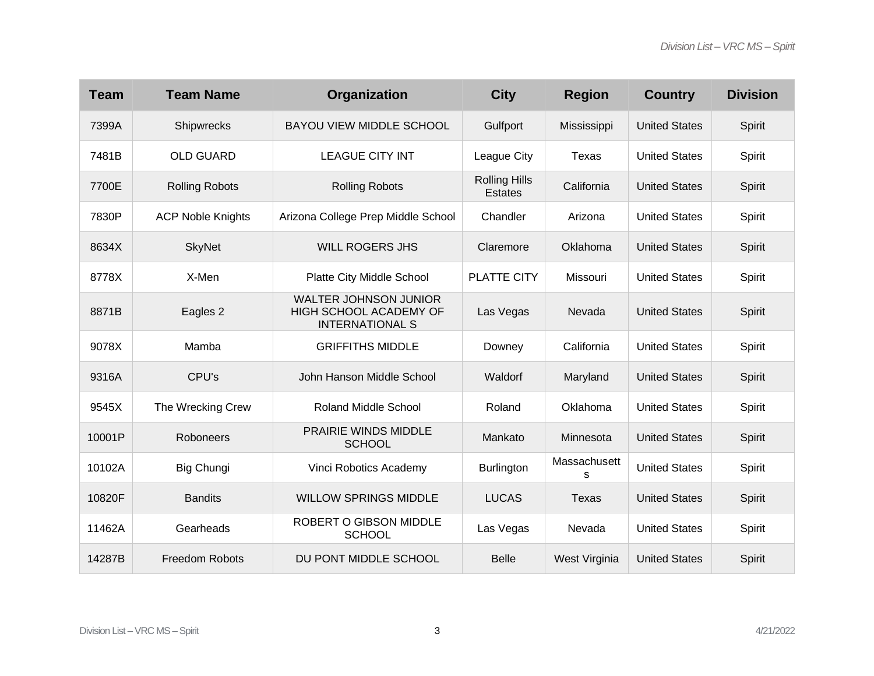| <b>Team</b> | <b>Team Name</b>         | Organization                                                                     | <b>City</b>                            | <b>Region</b>     | <b>Country</b>       | <b>Division</b> |
|-------------|--------------------------|----------------------------------------------------------------------------------|----------------------------------------|-------------------|----------------------|-----------------|
| 7399A       | Shipwrecks               | <b>BAYOU VIEW MIDDLE SCHOOL</b>                                                  | Gulfport                               | Mississippi       | <b>United States</b> | Spirit          |
| 7481B       | <b>OLD GUARD</b>         | <b>LEAGUE CITY INT</b>                                                           | League City                            | Texas             | <b>United States</b> | Spirit          |
| 7700E       | <b>Rolling Robots</b>    | <b>Rolling Robots</b>                                                            | <b>Rolling Hills</b><br><b>Estates</b> | California        | <b>United States</b> | Spirit          |
| 7830P       | <b>ACP Noble Knights</b> | Arizona College Prep Middle School                                               | Chandler                               | Arizona           | <b>United States</b> | Spirit          |
| 8634X       | <b>SkyNet</b>            | <b>WILL ROGERS JHS</b>                                                           | Claremore                              | Oklahoma          | <b>United States</b> | Spirit          |
| 8778X       | X-Men                    | Platte City Middle School                                                        | PLATTE CITY                            | Missouri          | <b>United States</b> | Spirit          |
| 8871B       | Eagles 2                 | <b>WALTER JOHNSON JUNIOR</b><br>HIGH SCHOOL ACADEMY OF<br><b>INTERNATIONAL S</b> | Las Vegas                              | Nevada            | <b>United States</b> | Spirit          |
| 9078X       | Mamba                    | <b>GRIFFITHS MIDDLE</b>                                                          | Downey                                 | California        | <b>United States</b> | Spirit          |
| 9316A       | CPU's                    | John Hanson Middle School                                                        | Waldorf                                | Maryland          | <b>United States</b> | Spirit          |
| 9545X       | The Wrecking Crew        | <b>Roland Middle School</b>                                                      | Roland                                 | Oklahoma          | <b>United States</b> | Spirit          |
| 10001P      | Roboneers                | PRAIRIE WINDS MIDDLE<br><b>SCHOOL</b>                                            | Mankato                                | Minnesota         | <b>United States</b> | Spirit          |
| 10102A      | Big Chungi               | Vinci Robotics Academy                                                           | <b>Burlington</b>                      | Massachusett<br>s | <b>United States</b> | Spirit          |
| 10820F      | <b>Bandits</b>           | <b>WILLOW SPRINGS MIDDLE</b>                                                     | <b>LUCAS</b>                           | <b>Texas</b>      | <b>United States</b> | Spirit          |
| 11462A      | Gearheads                | ROBERT O GIBSON MIDDLE<br><b>SCHOOL</b>                                          | Las Vegas                              | Nevada            | <b>United States</b> | Spirit          |
| 14287B      | <b>Freedom Robots</b>    | DU PONT MIDDLE SCHOOL                                                            | <b>Belle</b>                           | West Virginia     | <b>United States</b> | Spirit          |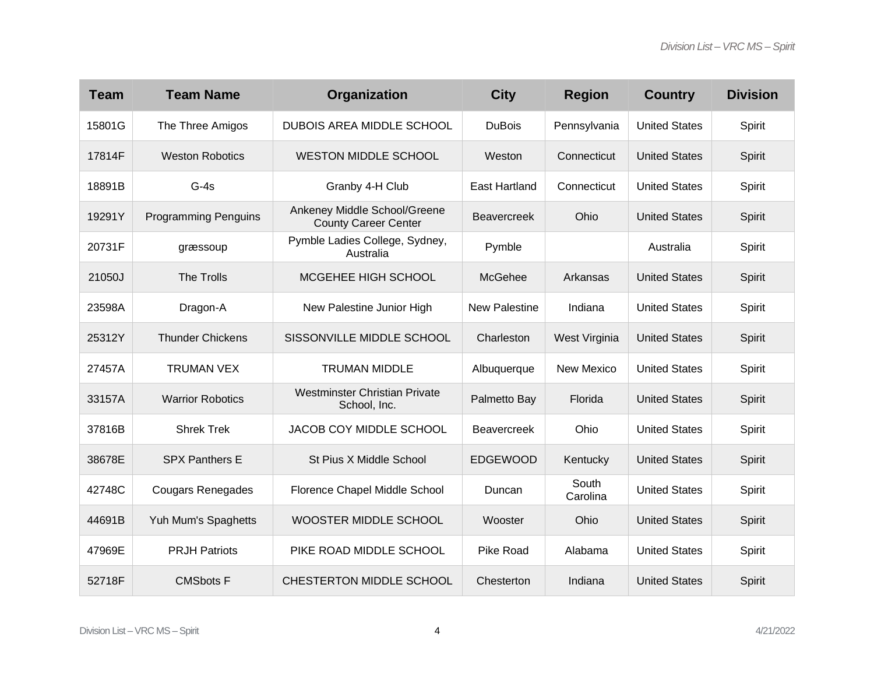| <b>Team</b> | <b>Team Name</b>            | Organization                                                | <b>City</b>          | <b>Region</b>     | <b>Country</b>       | <b>Division</b> |
|-------------|-----------------------------|-------------------------------------------------------------|----------------------|-------------------|----------------------|-----------------|
| 15801G      | The Three Amigos            | <b>DUBOIS AREA MIDDLE SCHOOL</b>                            | <b>DuBois</b>        | Pennsylvania      | <b>United States</b> | Spirit          |
| 17814F      | <b>Weston Robotics</b>      | <b>WESTON MIDDLE SCHOOL</b>                                 | Weston               | Connecticut       | <b>United States</b> | Spirit          |
| 18891B      | $G-4s$                      | Granby 4-H Club                                             | <b>East Hartland</b> | Connecticut       | <b>United States</b> | Spirit          |
| 19291Y      | <b>Programming Penguins</b> | Ankeney Middle School/Greene<br><b>County Career Center</b> | <b>Beavercreek</b>   | Ohio              | <b>United States</b> | Spirit          |
| 20731F      | græssoup                    | Pymble Ladies College, Sydney,<br>Australia                 | Pymble               |                   | Australia            | Spirit          |
| 21050J      | The Trolls                  | MCGEHEE HIGH SCHOOL                                         | McGehee              | Arkansas          | <b>United States</b> | Spirit          |
| 23598A      | Dragon-A                    | New Palestine Junior High                                   | <b>New Palestine</b> | Indiana           | <b>United States</b> | Spirit          |
| 25312Y      | <b>Thunder Chickens</b>     | SISSONVILLE MIDDLE SCHOOL                                   | Charleston           | West Virginia     | <b>United States</b> | Spirit          |
| 27457A      | <b>TRUMAN VEX</b>           | <b>TRUMAN MIDDLE</b>                                        | Albuquerque          | New Mexico        | <b>United States</b> | Spirit          |
| 33157A      | <b>Warrior Robotics</b>     | <b>Westminster Christian Private</b><br>School, Inc.        | Palmetto Bay         | Florida           | <b>United States</b> | Spirit          |
| 37816B      | <b>Shrek Trek</b>           | JACOB COY MIDDLE SCHOOL                                     | <b>Beavercreek</b>   | Ohio              | <b>United States</b> | Spirit          |
| 38678E      | <b>SPX Panthers E</b>       | St Pius X Middle School                                     | <b>EDGEWOOD</b>      | Kentucky          | <b>United States</b> | Spirit          |
| 42748C      | <b>Cougars Renegades</b>    | Florence Chapel Middle School                               | Duncan               | South<br>Carolina | <b>United States</b> | Spirit          |
| 44691B      | Yuh Mum's Spaghetts         | WOOSTER MIDDLE SCHOOL                                       | Wooster              | Ohio              | <b>United States</b> | Spirit          |
| 47969E      | <b>PRJH Patriots</b>        | PIKE ROAD MIDDLE SCHOOL                                     | Pike Road            | Alabama           | <b>United States</b> | Spirit          |
| 52718F      | <b>CMSbots F</b>            | CHESTERTON MIDDLE SCHOOL                                    | Chesterton           | Indiana           | <b>United States</b> | Spirit          |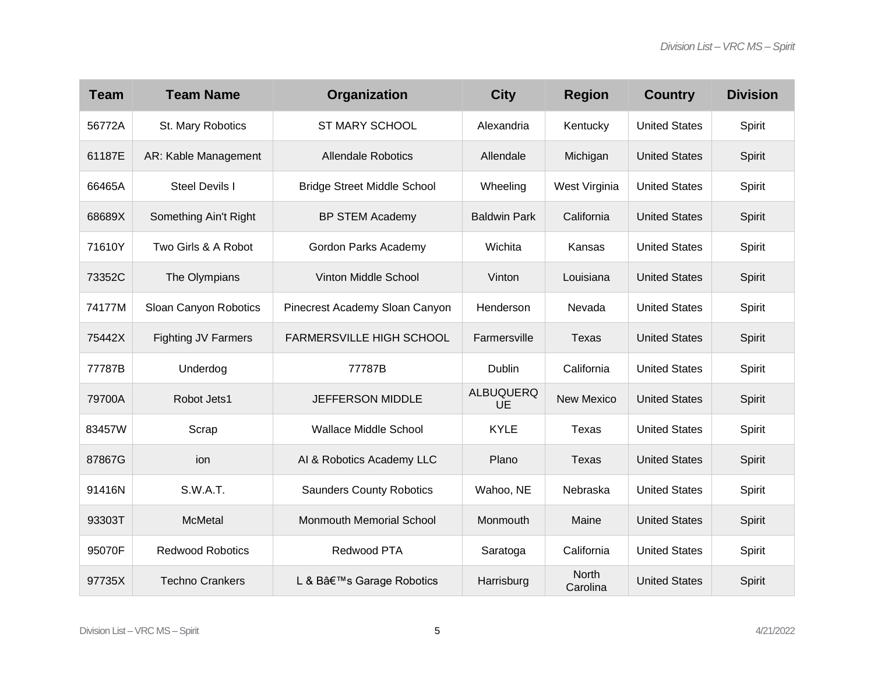| <b>Team</b> | <b>Team Name</b>           | Organization                       | <b>City</b>            | <b>Region</b>            | <b>Country</b>       | <b>Division</b> |
|-------------|----------------------------|------------------------------------|------------------------|--------------------------|----------------------|-----------------|
| 56772A      | St. Mary Robotics          | <b>ST MARY SCHOOL</b>              | Alexandria             | Kentucky                 | <b>United States</b> | Spirit          |
| 61187E      | AR: Kable Management       | <b>Allendale Robotics</b>          | Allendale              | Michigan                 | <b>United States</b> | Spirit          |
| 66465A      | Steel Devils I             | <b>Bridge Street Middle School</b> | Wheeling               | West Virginia            | <b>United States</b> | Spirit          |
| 68689X      | Something Ain't Right      | <b>BP STEM Academy</b>             | <b>Baldwin Park</b>    | California               | <b>United States</b> | Spirit          |
| 71610Y      | Two Girls & A Robot        | Gordon Parks Academy               | Wichita                | Kansas                   | <b>United States</b> | Spirit          |
| 73352C      | The Olympians              | Vinton Middle School               | Vinton                 | Louisiana                | <b>United States</b> | Spirit          |
| 74177M      | Sloan Canyon Robotics      | Pinecrest Academy Sloan Canyon     | Henderson              | Nevada                   | <b>United States</b> | Spirit          |
| 75442X      | <b>Fighting JV Farmers</b> | <b>FARMERSVILLE HIGH SCHOOL</b>    | Farmersville           | <b>Texas</b>             | <b>United States</b> | Spirit          |
| 77787B      | Underdog                   | 77787B                             | <b>Dublin</b>          | California               | <b>United States</b> | Spirit          |
| 79700A      | Robot Jets1                | <b>JEFFERSON MIDDLE</b>            | <b>ALBUQUERQ</b><br>UE | <b>New Mexico</b>        | <b>United States</b> | Spirit          |
| 83457W      | Scrap                      | <b>Wallace Middle School</b>       | <b>KYLE</b>            | Texas                    | <b>United States</b> | Spirit          |
| 87867G      | ion                        | AI & Robotics Academy LLC          | Plano                  | <b>Texas</b>             | <b>United States</b> | Spirit          |
| 91416N      | S.W.A.T.                   | <b>Saunders County Robotics</b>    | Wahoo, NE              | Nebraska                 | <b>United States</b> | Spirit          |
| 93303T      | <b>McMetal</b>             | Monmouth Memorial School           | Monmouth               | Maine                    | <b>United States</b> | Spirit          |
| 95070F      | <b>Redwood Robotics</b>    | Redwood PTA                        | Saratoga               | California               | <b>United States</b> | Spirit          |
| 97735X      | <b>Techno Crankers</b>     | L & B's Garage Robotics            | Harrisburg             | <b>North</b><br>Carolina | <b>United States</b> | Spirit          |